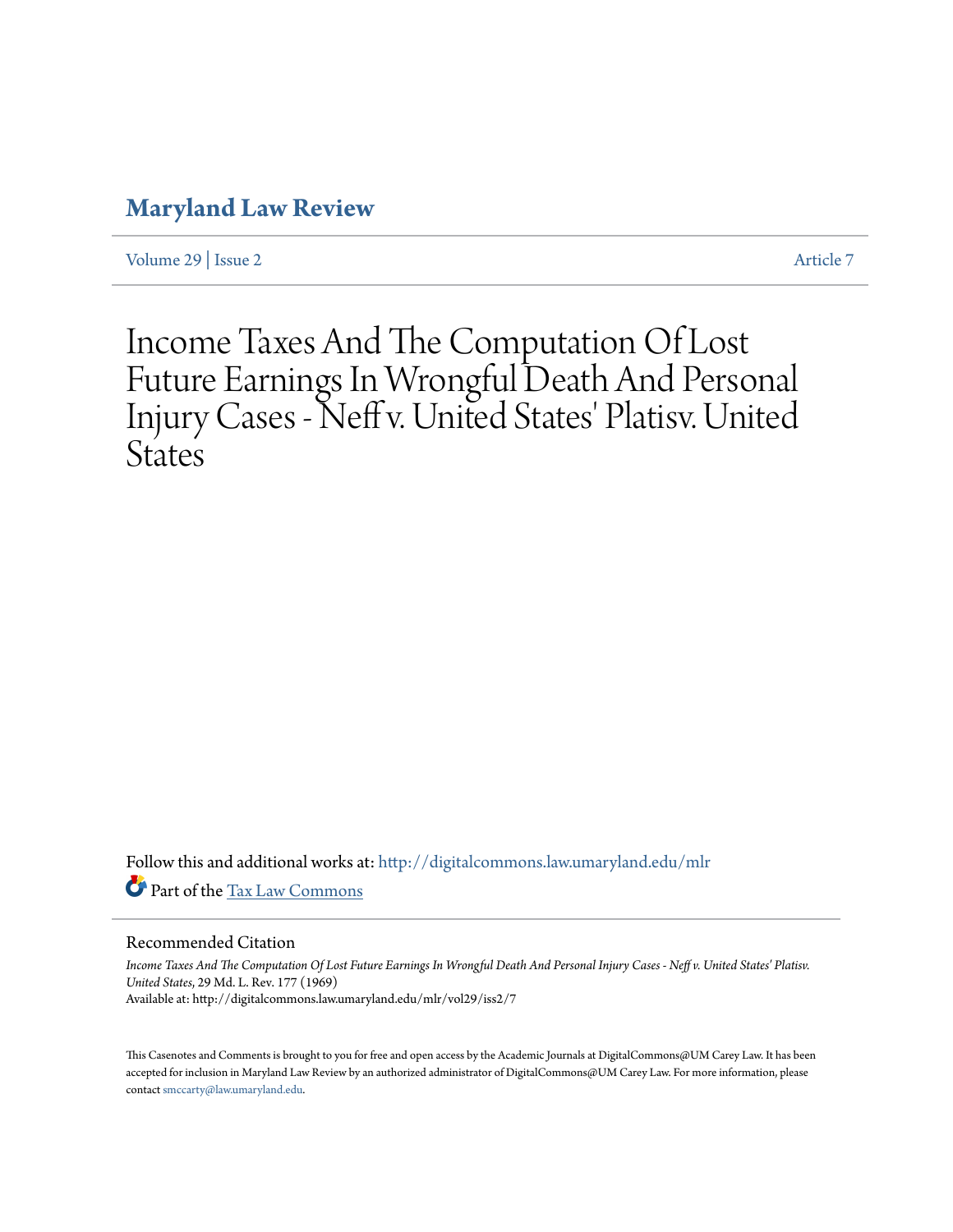# **[Maryland Law Review](http://digitalcommons.law.umaryland.edu/mlr?utm_source=digitalcommons.law.umaryland.edu%2Fmlr%2Fvol29%2Fiss2%2F7&utm_medium=PDF&utm_campaign=PDFCoverPages)**

[Volume 29](http://digitalcommons.law.umaryland.edu/mlr/vol29?utm_source=digitalcommons.law.umaryland.edu%2Fmlr%2Fvol29%2Fiss2%2F7&utm_medium=PDF&utm_campaign=PDFCoverPages) | [Issue 2](http://digitalcommons.law.umaryland.edu/mlr/vol29/iss2?utm_source=digitalcommons.law.umaryland.edu%2Fmlr%2Fvol29%2Fiss2%2F7&utm_medium=PDF&utm_campaign=PDFCoverPages) [Article 7](http://digitalcommons.law.umaryland.edu/mlr/vol29/iss2/7?utm_source=digitalcommons.law.umaryland.edu%2Fmlr%2Fvol29%2Fiss2%2F7&utm_medium=PDF&utm_campaign=PDFCoverPages)

# Income Taxes And The Computation Of Lost Future Earnings In Wrongful Death And Personal Injury Cases - Neff v. United States' Platisv. United **States**

Follow this and additional works at: [http://digitalcommons.law.umaryland.edu/mlr](http://digitalcommons.law.umaryland.edu/mlr?utm_source=digitalcommons.law.umaryland.edu%2Fmlr%2Fvol29%2Fiss2%2F7&utm_medium=PDF&utm_campaign=PDFCoverPages) Part of the [Tax Law Commons](http://network.bepress.com/hgg/discipline/898?utm_source=digitalcommons.law.umaryland.edu%2Fmlr%2Fvol29%2Fiss2%2F7&utm_medium=PDF&utm_campaign=PDFCoverPages)

## Recommended Citation

*Income Taxes And The Computation Of Lost Future Earnings In Wrongful Death And Personal Injury Cases - Neff v. United States' Platisv. United States*, 29 Md. L. Rev. 177 (1969) Available at: http://digitalcommons.law.umaryland.edu/mlr/vol29/iss2/7

This Casenotes and Comments is brought to you for free and open access by the Academic Journals at DigitalCommons@UM Carey Law. It has been accepted for inclusion in Maryland Law Review by an authorized administrator of DigitalCommons@UM Carey Law. For more information, please contact [smccarty@law.umaryland.edu.](mailto:smccarty@law.umaryland.edu)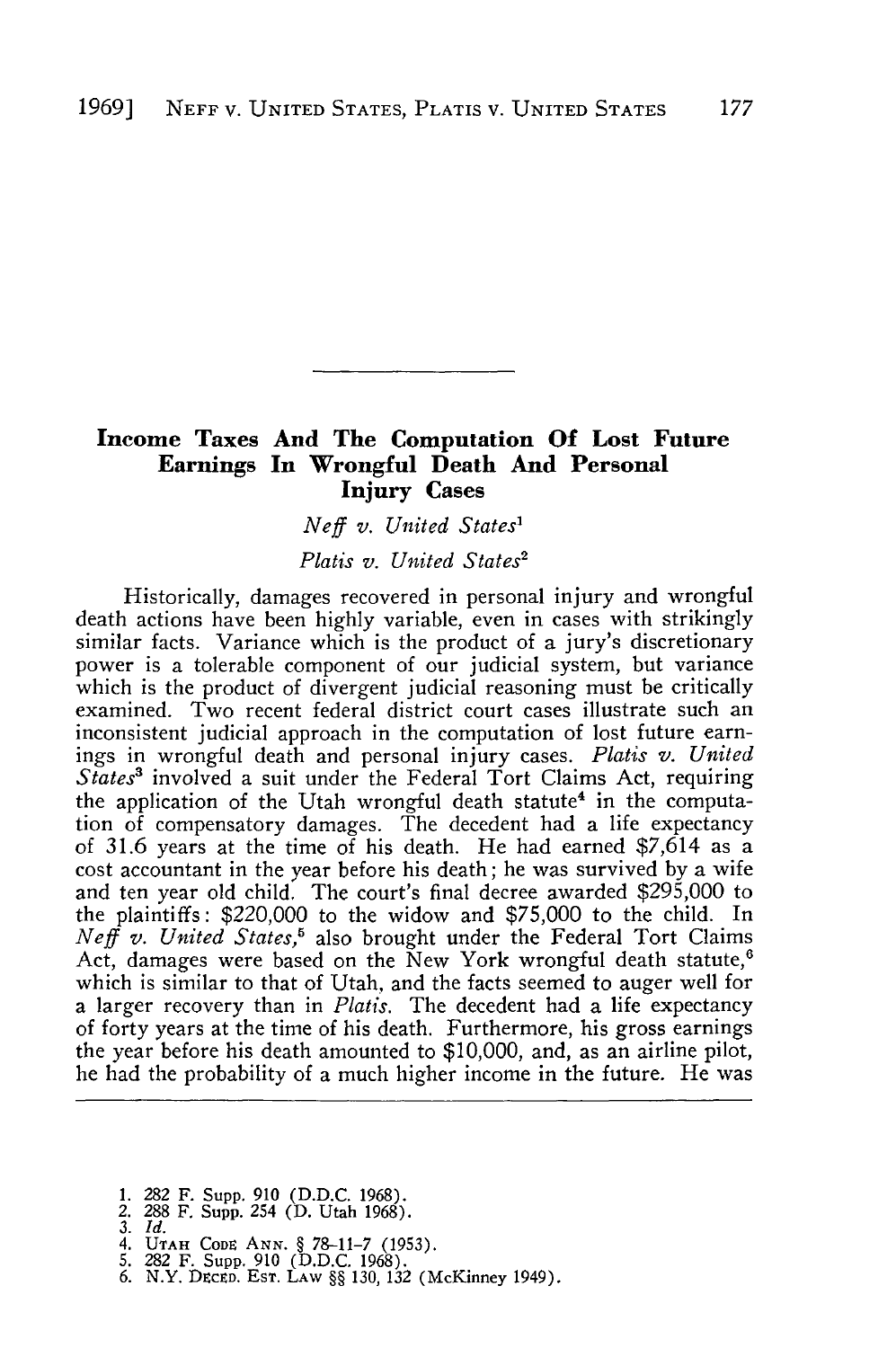# **Income Taxes And The Computation Of Lost Future Earnings In Wrongful Death And Personal Injury Cases**

# *Neff v. United States'*

*Platis v. United States2*

Historically, damages recovered in personal injury and wrongful death actions have been highly variable, even in cases with strikingly similar facts. Variance which is the product of a jury's discretionary power is a tolerable component of our judicial system, but variance which is the product of divergent judicial reasoning must be critically examined. Two recent federal district court cases illustrate such an inconsistent judicial approach in the computation of lost future earnings in wrongful death and personal injury cases. *Platis v. United States'* involved a suit under the Federal Tort Claims Act, requiring the application of the Utah wrongful death statute<sup>4</sup> in the computation of compensatory damages. The decedent had a life expectancy of 31.6 years at the time of his death. He had earned \$7,614 as a cost accountant in the year before his death; he was survived by a wife and ten year old child. The court's final decree awarded \$295,000 to the plaintiffs: \$220,000 to the widow and \$75,000 to the child. In *Neff v. United States,'* also brought under the Federal Tort Claims Act, damages were based on the New York wrongful death statute,<sup>6</sup> which is similar to that of Utah, and the facts seemed to auger well for a larger recovery than in *Platis.* The decedent had a life expectancy of forty years at the time of his death. Furthermore, his gross earnings the year before his death amounted to \$10,000, and, as an airline pilot, he had the probability of a much higher income in the future. He was

- 1. 282 F. Supp. 910 (D.D.C. 1968). 2. 288 F. Supp. 254 (D. Utah 1968).
- *3. Id.*
- 
- 
- 4. UTAH CODE ANN. § 78–11-7 (1953).<br>5. 282 F. Supp. 910 (D.D.C. 1968).<br>6. N.Y. Decep. Est. Law §§ 130, 132 (McKinney 1949)
-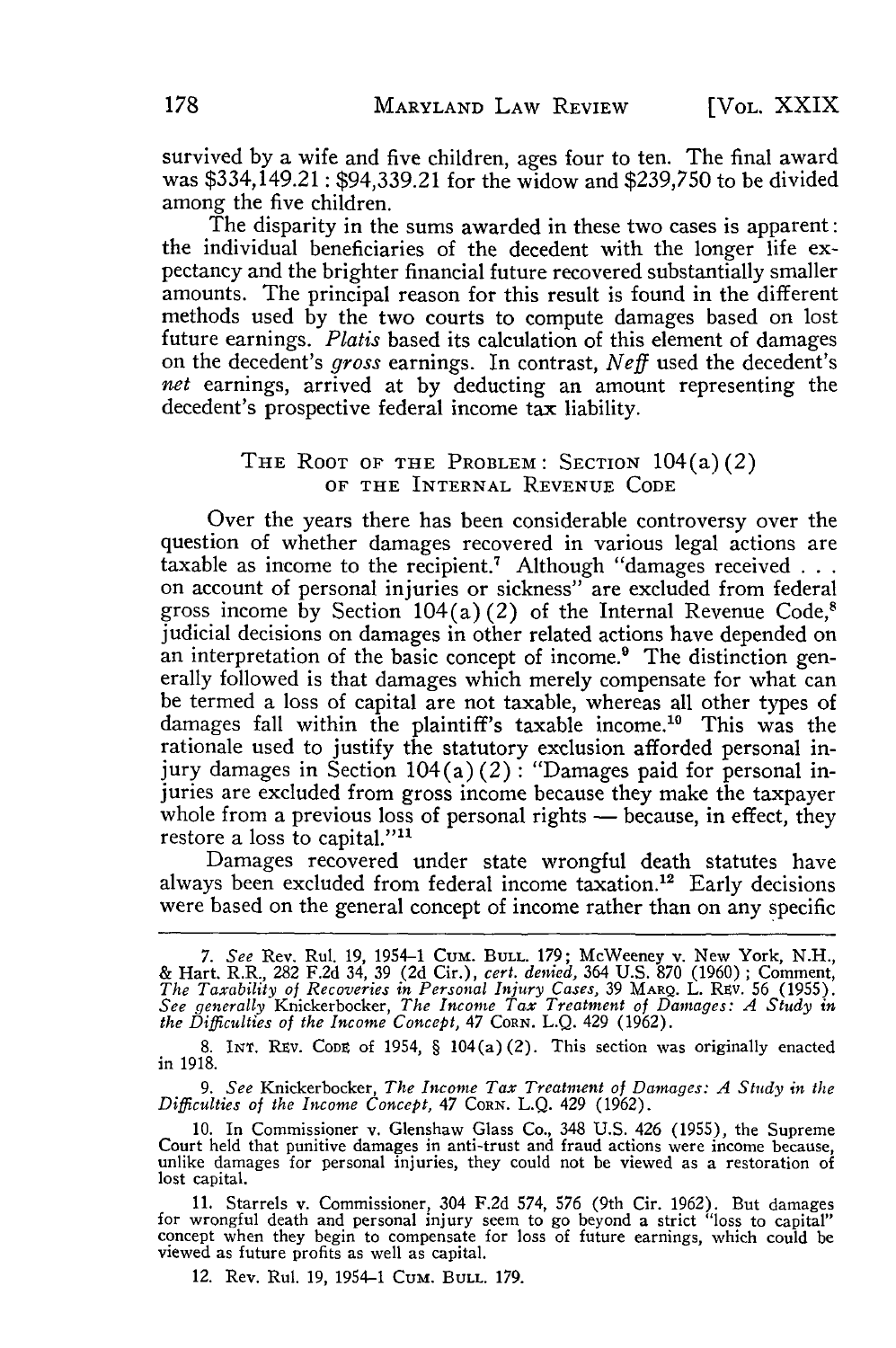survived **by** a wife and five children, ages four to ten. The final award was \$334,149.21 : \$94,339.21 for the widow and **\$239,750** to be divided among the five children.

The disparity in the sums awarded in these two cases is apparent: the individual beneficiaries of the decedent with the longer life expectancy and the brighter financial future recovered substantially smaller amounts. The principal reason for this result is found in the different methods used **by** the two courts to compute damages based on lost future earnings. *Platis* based its calculation of this element of damages on the decedent's *gross* earnings. In contrast, *Neff* used the decedent's *net* earnings, arrived at **by** deducting an amount representing the decedent's prospective federal income tax liability.

#### THE ROOT OF **THE** PROBLEM: SECTION 104(a)(2) OF **THE INTERNAL REVENUE CODE**

Over the years there has been considerable controversy over the question of whether damages recovered in various legal actions are taxable as income to the recipient.<sup>7</sup> Although "damages received . . . taxable as meeting to the recipient.<sup>7</sup> Although "are excluded from federal" on account of personal injuries or sickness" are excluded from federal gross income by Section  $104(a)(2)$  of the Internal Revenue Code,<sup>8</sup> judicial decisions on damages in other related actions have depended on an interpretation of the basic concept of income.<sup>9</sup> The distinction generally followed is that damages which merely compensate for what can be termed a loss of capital are not taxable, whereas all other types of damages fall within the plaintiff's taxable income.<sup>10</sup> This was the rationale used to justify the statutory exclusion afforded personal injury damages in Section  $104(a)(2)$ : "Damages paid for personal injuries are excluded from gross income because they make the taxpayer whole from a previous loss of personal rights - because, in effect, they restore a loss to capital."<sup>11</sup>

Damages recovered under state wrongful death statutes have always been excluded from federal income taxation.<sup>12</sup> Early decisions were based on the general concept of income rather than on any specific

*9. See* Knickerbocker, *The Income Tax Treatment of Damages: A Study in the Difficulties of the Income Concept, 47* CORN. L.Q. 429 (1962).

12. Rev. Rul. 19, 1954-1 CuM. **BULL.** 179.

*<sup>7.</sup> See* Rev. Rul. 19, 1954-1 Cum. **BULL.** 179; McWeeney v. New York, N.H., & Hart. R.R., 282 F.2d 34, 39 (2d Cir.), *cert. denied,* 364 U.S. 870 (1960) **;** Comment, *The Taxability of Recoveries in Personal Injury Cases,* 39 MARQ. L. Rsv. 56 (1955). *See generally* Knickerbocker, *The Income Tax Treatment of Damages: A Study in the DiffiLculties of the Income Concept,* 47 CORN. **L.Q.** 429 **(1962).**

<sup>8.</sup> **INT.** Riv. **CODE** of 1954, § 104(a) (2). This section was originally enacted in 1918.

<sup>10.</sup> In Commissioner v. Glenshaw Glass Co., 348 U.S. 426 (1955), the Supreme Court held that punitive damages in anti-trust and fraud actions were income because, unlike damages for personal injuries, they could not be view lost capital.

<sup>11.</sup> Starrels v. Commissioner, 304 F.2d 574, 576 (9th Cir. 1962). But damages for wrongful death and personal injury seem to go beyond a strict "loss to capital" concept when they begin to compensate for loss of future earnings, which could be viewed as future profits as well as capital.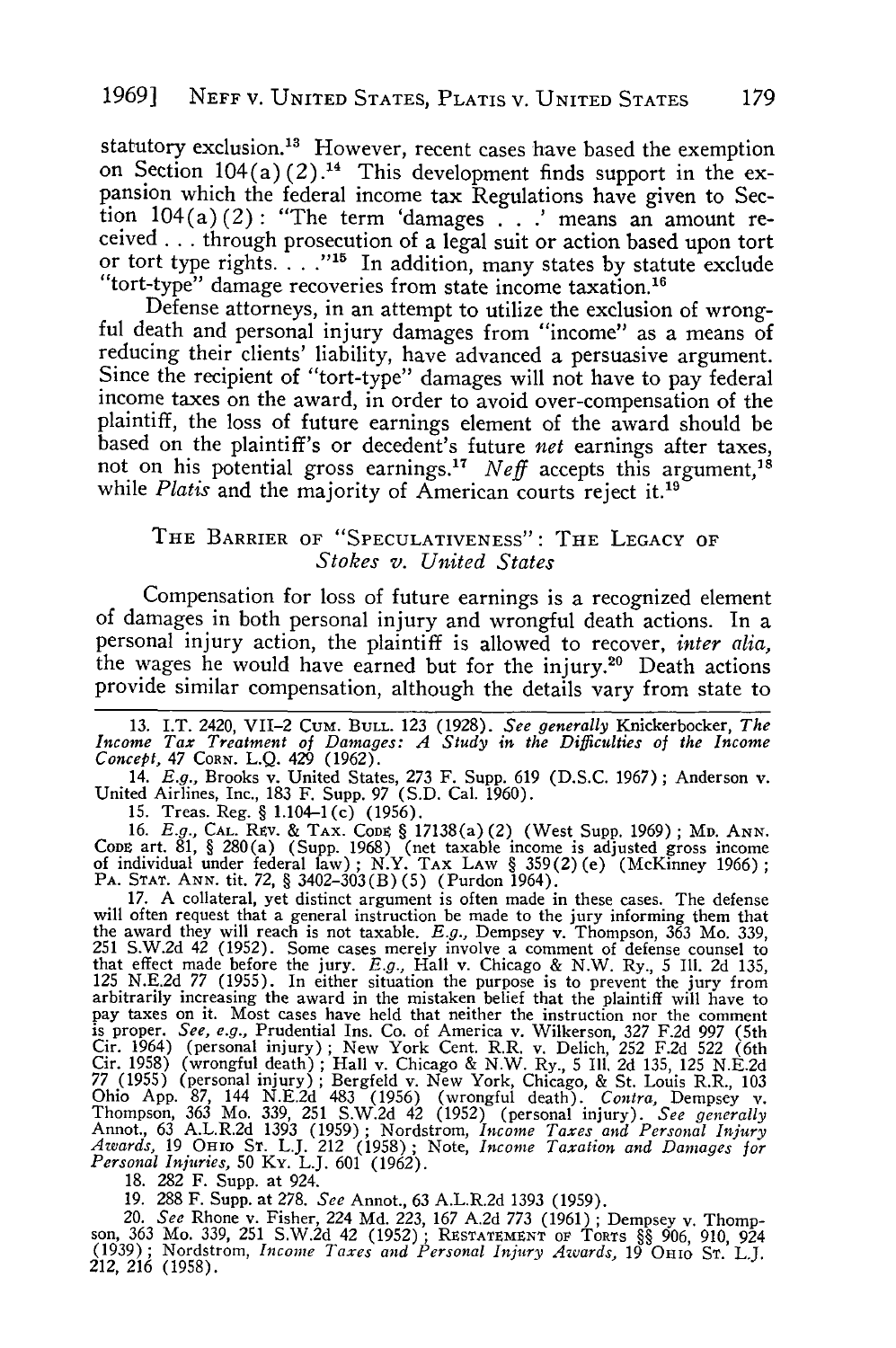statutory exclusion.<sup>13</sup> However, recent cases have based the exemption on Section  $104(a)(2)$ .<sup>14</sup> This development finds support in the expansion which the federal income tax Regulations have given to Section  $104(a)(2)$ : "The term 'damages . . .' means an amount received **...** through prosecution of a legal suit or action based upon tort or tort type rights. . . **.""** In addition, many states by statute exclude "tort-type" damage recoveries from state income taxation.'6

Defense attorneys, in an attempt to utilize the exclusion of wrong- ful death and personal injury damages from "income" as a means of reducing their clients' liability, have advanced a persuasive argument. Since the recipient of "tort-type" damages will not have to pay federal income taxes on the award, in order to avoid over-compensation of the plaintiff, the loss of future earnings element of the award should be based on the plaintiff's or decedent's future *net* earnings after taxes, not on his potential gross earnings.<sup>17</sup> *Neff* accepts this argument, while *Platis* and the majority of American courts reject it.<sup>19</sup>

## THE BARRIER OF "SPECULATIVENESS": THE LEGACY OF *Stokes v. United States*

Compensation for loss of future earnings is a recognized element of damages in both personal injury and wrongful death actions. In a personal injury action, the plaintiff is allowed to recover, *inter alia,* the wages he would have earned but for the injury.<sup>20</sup> Death actions provide similar compensation, although the details vary from state to

13. I.T. 2420, VII-2 CUM. BULL. 123 (1928). See generally Knickerbocker, The Income Tax Treatment of Damages: A Study in the Difficulties of the Income Concept, 47 CORN. L.Q. 429 (1962).

14. *E.g.,* Brooks v. United States, 273 F. Supp. 619 (D.S.C. 1967) ; Anderson v. United Airlines, Inc., 183 F. Supp. 97 (S.D. Cal. 1960).

15. Treas. Reg. § 1.104-1(c) (1956).

16. *E.g.,* **CAL.** Rtv. & TAX. **CODs** § 17138(a) (2) (West Supp. 1969) ; MD. **ANN.** CODE art. 81, § 280(a) (Supp. 1968) (net taxable income is adjusted gross income<br>of individual under federal law); N.Y. TAX LAW § 359(2)(e) (McKinney 1966);<br>PA. STAT. ANN. tit. 72, § 3402–303(B)(5) (Purdon 1964).

17. A collateral, yet distinct argument is often made in these cases. The defense will often request that a general instruction be made to the jury informing them that the award they will reach is not taxable. *E.g.,* Dempsey v. Thompson, 363 Mo. 339, 251 S.W.2d 42 (1952). Some cases merely involve a comment of defense counsel to that effect made before the jury. *E.g.,* Hall v. Chicago & N.W. Ry., 5 Ill. 2d 135, 125 N.E.2d 77 (1955). In either situation the purpose is to prevent the jury from arbitrarily increasing the award in the mistaken belief that the plaintiff will have to pay taxes on it. Most cases have held that neither the instruction nor the comment is proper. *See, e.g.*, Prudential Ins. Co. of America v. Wilkerson, 327 F.2d 997 (5th<br>Cir. 1964) (personal injury); New York Cent. R.R. v. Delich, 252 F.2d 997 (5th<br>Cir. 1958) (wrongful death); Hall v. Chicago & N.W. Ry., Ohio App. 87, 144 N.E.2d 483 (1956) (wrongful death). Contra, Dempsey v.<br>Thompson, 363 Mo. 339, 251 S.W.2d 42 (1952) (personal injury). See generally<br>Annot, 63 A.L.R.2d 1393 (1959); Nordstrom, Income Taxes and Personal Inj

18. 282 F. Supp. at 924.

19. 288 F. Supp. at 278. *See* Annot., 63 A.L.R.2d 1393 (1959).

20. *See* Rhone v. Fisher, 224 Md. 223, 167 A.2d *773* (1961) ; Dempsey v. Thompson, 363 Mo. 339, 251 S.W.2d 42 (1952) ; RtSTATEMNT OF TORTS §§ 906, 910, 924 (1939) ; Nordstrom, *Income Taxes and Personal Injury Awards,* 19 OHIO ST. L.J. *212,* 216 (1958).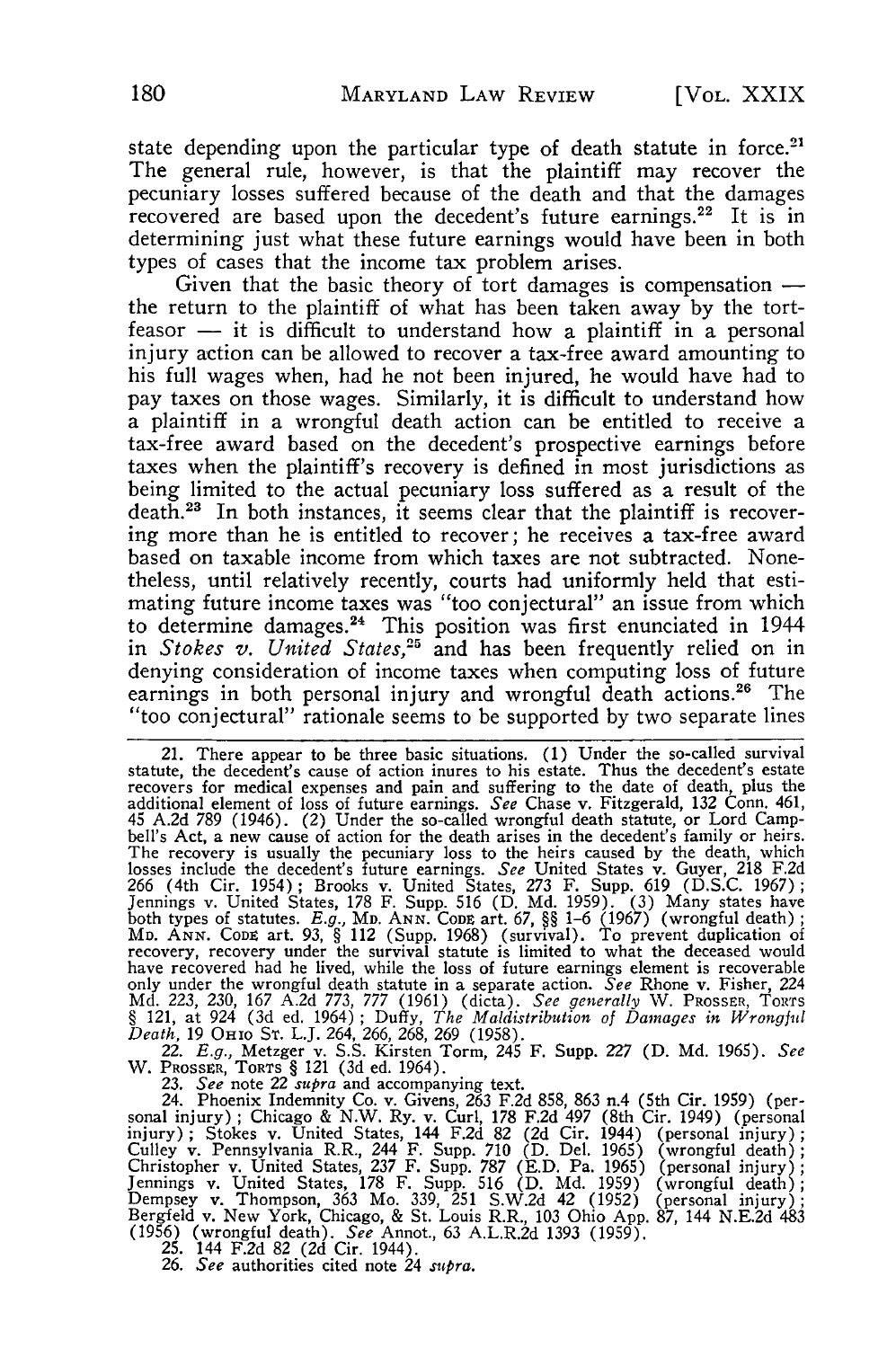state depending upon the particular type of death statute in force.<sup>21</sup> The general rule, however, is that the plaintiff may recover the pecuniary losses suffered because of the death and that the damages recovered are based upon the decedent's future earnings.<sup>22</sup> It is in determining just what these future earnings would have been in both types of cases that the income tax problem arises.

Given that the basic theory of tort damages is compensation  $$ the return to the plaintiff of what has been taken away by the tort $f$ easor  $-$  it is difficult to understand how a plaintiff in a personal injury action can be allowed to recover a tax-free award amounting to his full wages when, had he not been injured, he would have had to pay taxes on those wages. Similarly, it is difficult to understand how a plaintiff in a wrongful death action can be entitled to receive a tax-free award based on the decedent's prospective earnings before taxes when the plaintiff's recovery is defined in most jurisdictions as being limited to the actual pecuniary loss suffered as a result of the death.<sup>23</sup> In both instances, it seems clear that the plaintiff is recovering more than he is entitled to recover; he receives a tax-free award based on taxable income from which taxes are not subtracted. Nonetheless, until relatively recently, courts had uniformly held that estimating future income taxes was "too conjectural" an issue from which to determine damages.<sup>24</sup> This position was first enunciated in 1944 in *Stokes v. United States,25* and has been frequently relied on in denying consideration of income taxes when computing loss of future earnings in both personal injury and wrongful death actions.<sup>26</sup> The "too conjectural" rationale seems to be supported by two separate lines

22. E.g., Metzger v. S.S. Kirsten Torm, 245 F. Supp. 227 (D. Md. 1965). See<br>W. Prosser, Torrs § 121 (3d ed. 1964).<br>23. See note 22 supra and accompanying text.<br>24. Phoenix Indemnity Co. v. Givens, 263 F.2d 858, 863 n.4 (5t

sonal injury) ; Chicago & N.W. Ry. v. Curl, 178 F.2d 497 (8th Cir. 1949) (personal injury) ; Stokes v. United States, 144 F.2d 82 (2d Cir. 1944) (personal injury); Culley v. Pennsylvania R.R., 244 F. Supp. 710 (D. Del. 1965) (wrongful death)<br>Christopher v. United States, 237 F. Supp. 787 (E.D. Pa. 1965) (personal injury) Jennings v. United States, 178 F. Supp. 516 (D. Md. 1959) (wrongful death)<br>Dempsey v. Thompson, 363 Mo. 339, 251 S.W.2d 42 (1952) (personal injury)<br>Bergfeld v. New York, Chicago, & St. Louis R.R., 103 Ohio App. 87, 144 N.E (1956) (wrongful death). *See* Annot., 63 A.L.R.2d 1393 (1959). 25. 144 F.2d 82 (2d Cir. 1944). *26. See* authorities cited note 24 *supra.*

<sup>21.</sup> There appear to be three basic situations. (1) Under the so-called survival<br>statute, the decedent's cause of action inures to his estate. Thus the decedent's estate<br>recovers for medical expenses and pain and suffering bell's Act, a new cause of action for the death arises in the decedent's family or heirs.<br>The recovery is usually the pecuniary loss to the heirs caused by the death, which<br>losses include the decedent's future earnings. Se Jennings v. United States, 178 F. Supp. 516 (D. Md. 1959). (3) Many states have<br>both types of statutes. *E.g., Mn. ANN. Cone* art. 67, §§ 1–6 (1967) (wrongful death) **;** MD. ANN. CODE art. 93, § 112 (Supp. 1968) (survival). To prevent duplication of recovery, recovery under the survival statute is limited to what the deceased would have recovered had he lived, while the loss of future earn only under the wrongful death statute in a separate action. See Rhone v. Fisher, 224 Md. 223, 230, 167 A.2d 773, 777 (1961) (dicta). See generally W. PROSSER, TORTS § 121, at 924 (3d ed. 1964); Duffy, The Maldistribution o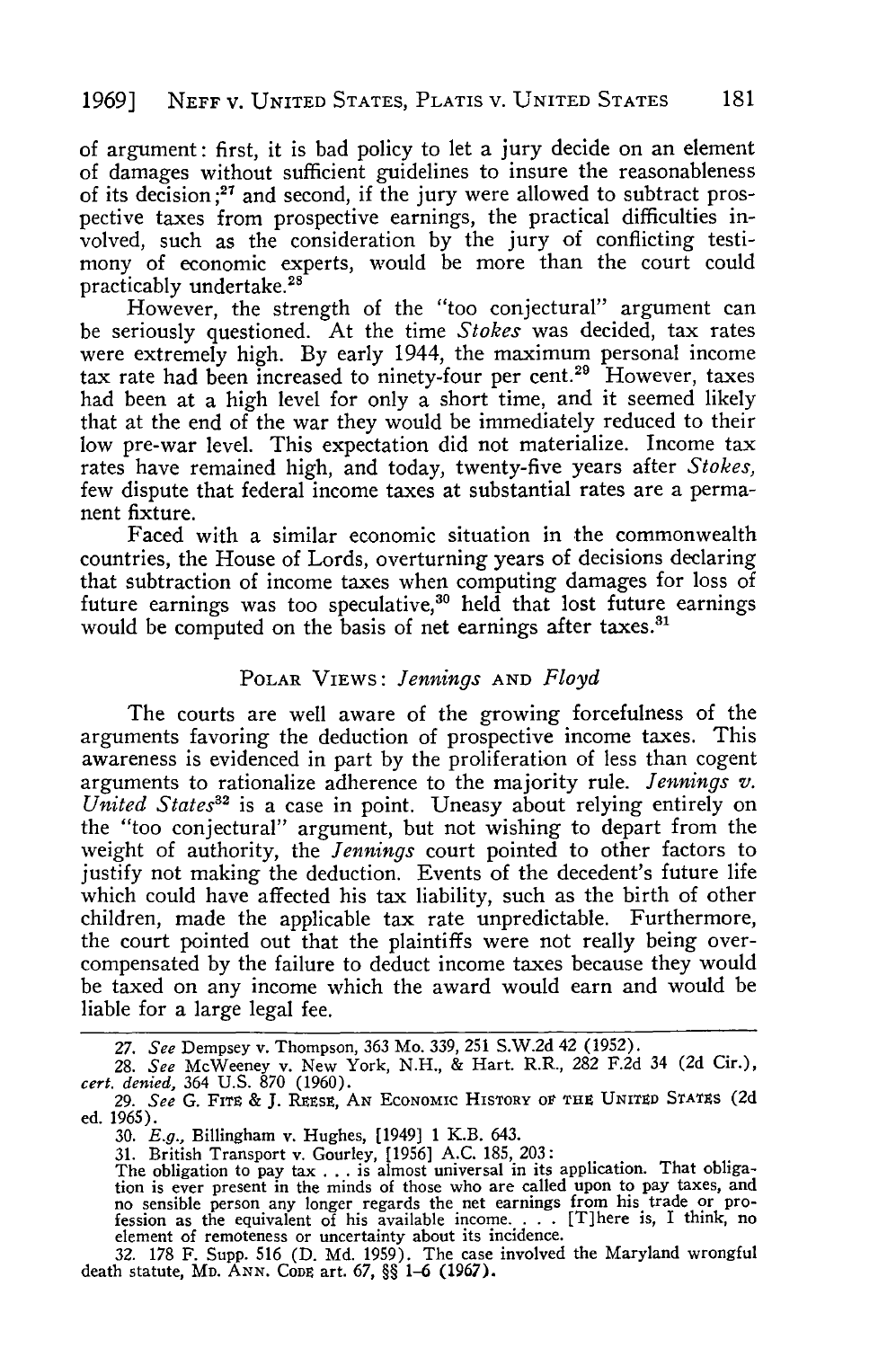of argument: first, it is bad policy to let a jury decide on an element of damages without sufficient guidelines to insure the reasonableness of its decision **;27** and second, if the jury were allowed to subtract prospective taxes from prospective earnings, the practical difficulties involved, such as the consideration by the jury of conflicting testimony of economic experts, would be more than the court could practicably undertake.28

However, the strength of the "too conjectural" argument can be seriously questioned. At the time *Stokes* was decided, tax rates were extremely high. **By** early 1944, the maximum personal income tax rate had been increased to ninety-four per cent.<sup>29</sup> However, taxes had been at a high level for only a short time, and it seemed likely that at the end of the war they would be immediately reduced to their low pre-war level. This expectation did not materialize. Income tax rates have remained high, and today, twenty-five years after *Stokes,* few dispute that federal income taxes at substantial rates are a permanent fixture.

Faced with a similar economic situation in the commonwealth countries, the House of Lords, overturning years of decisions declaring that subtraction of income taxes when computing damages for loss of future earnings was too speculative,<sup>30</sup> held that lost future earnings would be computed on the basis of net earnings after taxes.<sup>31</sup>

#### POLAR VIEWS: *Jennings* **AND** *Floyd*

The courts are well aware of the growing forcefulness of the arguments favoring the deduction of prospective income taxes. This awareness is evidenced in part by the proliferation of less than cogent arguments to rationalize adherence to the majority rule. *Jennings v. United States*<sup>32</sup> is a case in point. Uneasy about relying entirely on the "too conjectural" argument, but not wishing to depart from the weight of authority, the *Jennings* court pointed to other factors to justify not making the deduction. Events of the decedent's future life which could have affected his tax liability, such as the birth of other children, made the applicable tax rate unpredictable. Furthermore, the court pointed out that the plaintiffs were not really being overcompensated by the failure to deduct income taxes because they would be taxed on any income which the award would earn and would be liable for a large legal fee.

**32. 178** F. Supp. **516 (D. Md. 1959).** The case involved the Maryland wrongful death statute, **MD.** ANN. CODE art. **67,** §§ 1-6 (1967).

*<sup>27.</sup> See* Dempsey v. Thompson, **363** Mo. **339, 251 S.W.2d** 42 **(1952).**

**<sup>28.</sup>** *See* McWeeney v. New York, **N.H., &** Hart. R.R., **282 F.2d** 34 **(2d** Cir.), *cert. denied,* 364 U.S. 870 (1960).

*<sup>29.</sup> See* G. FITE & J. REsE, **AN** ECONOMic HISTORY *OV* **THE** UNITED **STATES** (2d ed. **1965).**

**<sup>30.</sup>** *E.g.,* Billingham v. Hughes, [1949] **1** K.B. 643.

**<sup>31.</sup>** British Transport v. Gourley, **[1956] A.C. 185, 203:** The obligation to pay tax . . . is almost universal in its application. That obligation is ever present in the minds of those who are called upon to pay taxes, and<br>no sensible person any longer regards the net earnings from his trade or pro-<br>fession as the equivalent of his available income.... [T]here i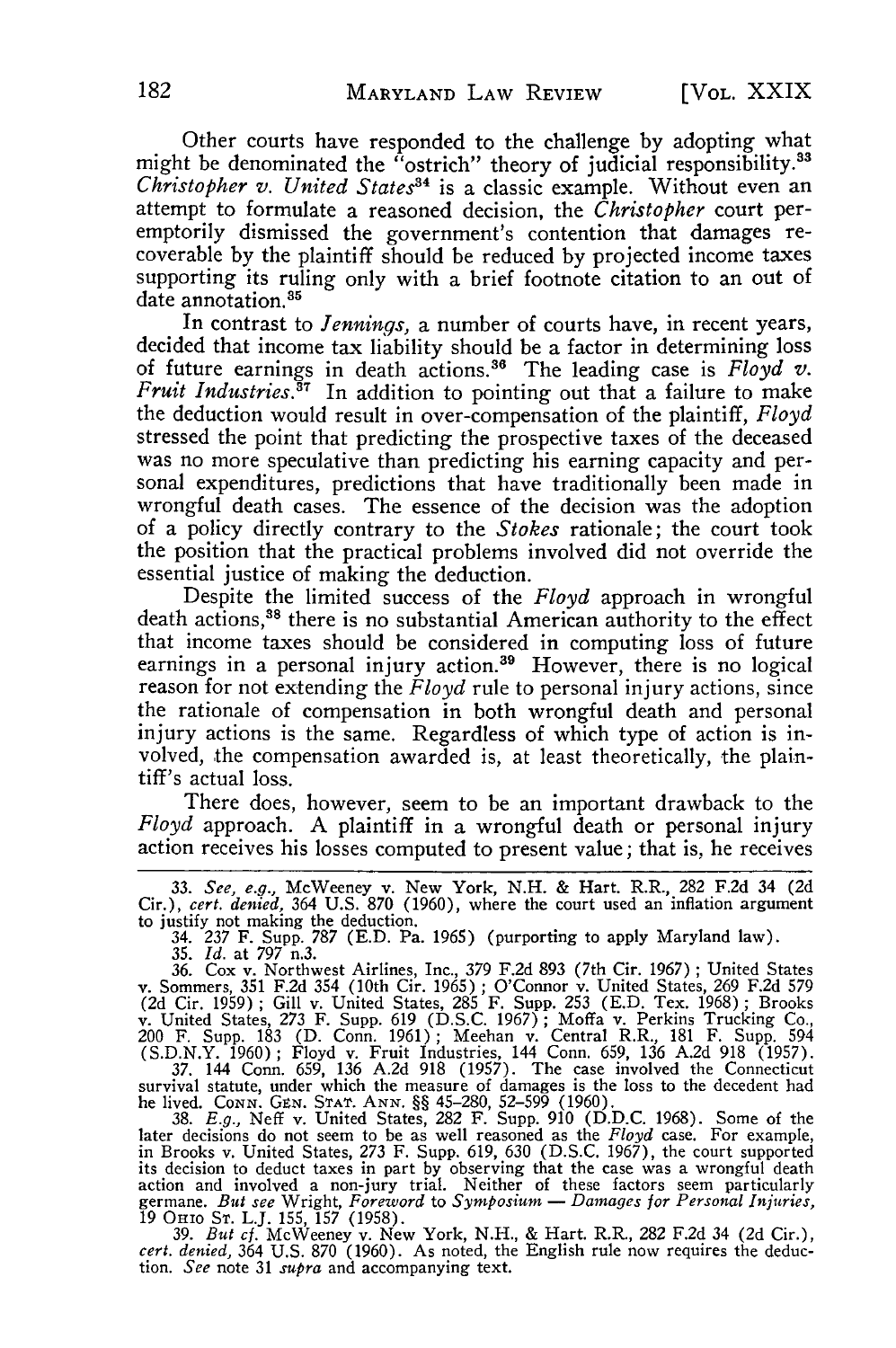Other courts have responded to the challenge by adopting what might be denominated the "ostrich" theory of judicial responsibility.<sup>33</sup> *Christopher v. United States34* is a classic example. Without even an attempt to formulate a reasoned decision, the *Christopher* court peremptorily dismissed the government's contention that damages recoverable by the plaintiff should be reduced by projected income taxes supporting its ruling only with a brief footnote citation to an out **of** date annotation.<sup>35</sup>

In contrast to *Jennings,* a number of courts have, in recent years, decided that income tax liability should be a factor in determining loss of future earnings in death actions. 6 The leading case is *Floyd v. Fruit Industries.3 <sup>T</sup>*In addition to pointing out that a failure to make the deduction would result in over-compensation of the plaintiff, *Floyd* stressed the point that predicting the prospective taxes of the deceased was no more speculative than predicting his earning capacity and personal expenditures, predictions that have traditionally been made in wrongful death cases. The essence of the decision was the adoption of a policy directly contrary to the *Stokes* rationale; the court took the position that the practical problems involved did not override the essential justice of making the deduction.

Despite the limited success of the *Floyd* approach in wrongful death actions,<sup>38</sup> there is no substantial American authority to the effect that income taxes should be considered in computing loss of future earnings in a personal injury action.<sup>39</sup> However, there is no logical reason for not extending the *Floyd* rule to personal injury actions, since the rationale of compensation in both wrongful death and personal injury actions is the same. Regardless of which type of action is involved, the compensation awarded is, at least theoretically, the plaintiff's actual loss.

There does, however, seem to be an important drawback to the *Floyd* approach. A plaintiff in a wrongful death or personal injury action receives his losses computed to present value; that is, he receives

36. Cox v. Northwest Airlines, Inc., 379 F.2d 893 (7th Cir. 1967) ; United States v. Sommers, 351 F.2d 354 (10th Cir. 1965) ; O'Connor v. United States, 269 F.2d 579 (2d Cir. 1959); Gill v. United States, 285 F. Supp. 253 (E.D. Tex. 1968); Brooks<br>v. United States, 273 F. Supp. 619 (D.S.C. 1967); Moffa v. Perkins Trucking Co.,<br>200 F. Supp. 183 (D. Conn. 1961); Meehan v. Central R.R., 18

37. 144 Conn. 659, 136 A.2d 918 (1957). The case involved the Connecticut<br>survival statute, under which the measure of damages is the loss to the decedent had<br>he lived. Conn. GEN. STAT. ANN. §§ 45-280, 52-599 (1960). D.D.

*cert. denied,* 364 U.S. 870 (1960). As noted, the English rule now requires the deduction. *See* note 31 *supra* and accompanying text.

**<sup>33.</sup>** *See, e.g.,* McWeeney v. New York, N.H. & Hart. R.R., 282 F.2d 34 (2d Cir.), *cert. denied,* 364 U.S. **870** (1960), where the court used an inflation argument to justify not making the deduction. 34. 237 F. Supp. 787 (E.D. Pa. 1965) (purporting to apply Maryland law).

<sup>35.</sup> *Id.* at 797 n.3.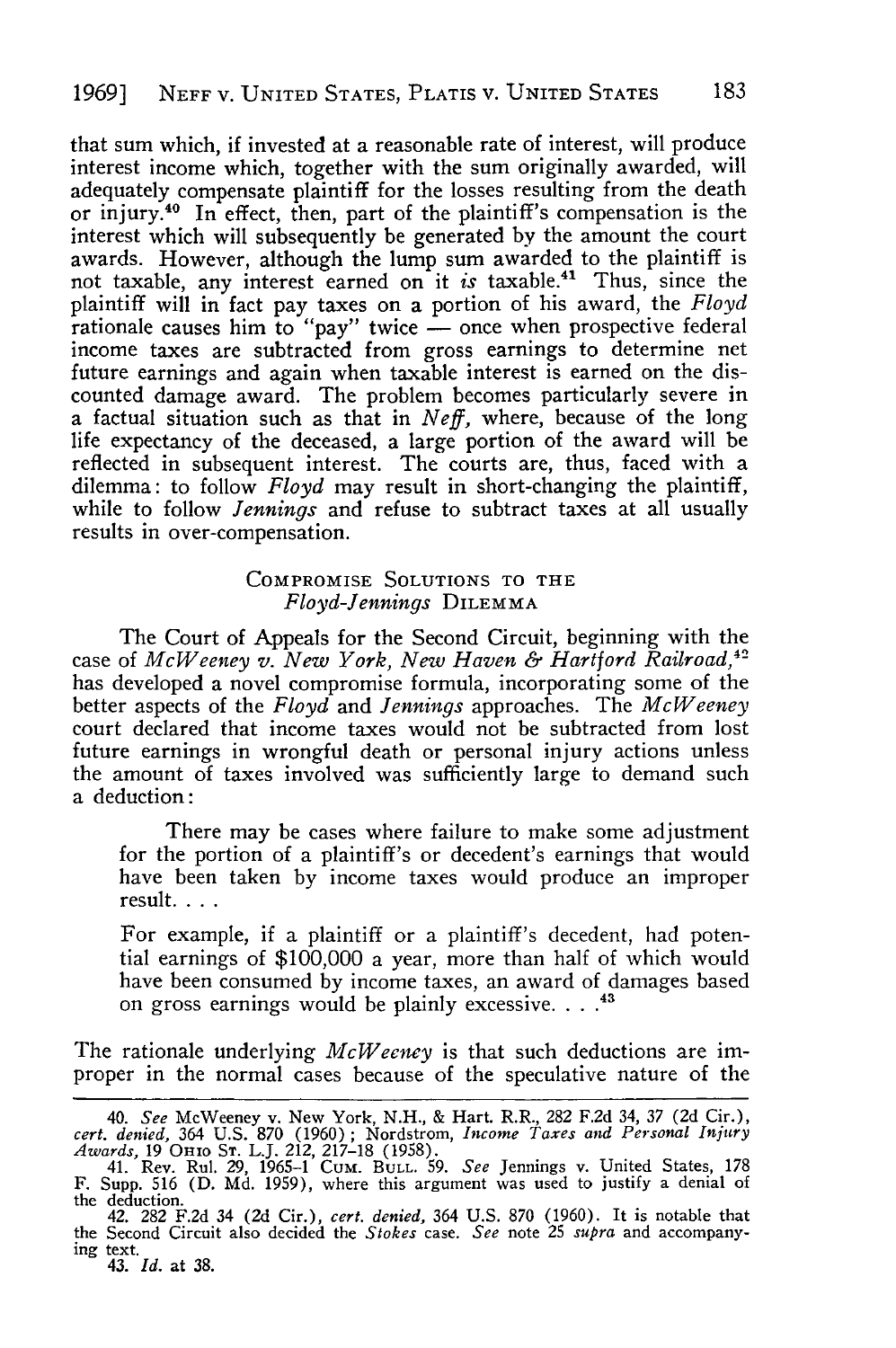that sum which, if invested at a reasonable rate of interest, will produce interest income which, together with the sum originally awarded, will adequately compensate plaintiff for the losses resulting from the death or injury.40 In effect, then, part of the plaintiff's compensation is the interest which will subsequently be generated by the amount the court awards. However, although the lump sum awarded to the plaintiff is not taxable, any interest earned on it *is* taxable.41 Thus, since the plaintiff will in fact pay taxes on a portion of his award, the *Floyd* rationale causes him to "pay" twice - once when prospective federal income taxes are subtracted from gross earnings to determine net future earnings and again when taxable interest is earned on the discounted damage award. The problem becomes particularly severe in a factual situation such as that in *Neff,* where, because of the long life expectancy of the deceased, a large portion of the award will be reflected in subsequent interest. The courts are, thus, faced with a dilemma: to follow *Floyd* may result in short-changing the plaintiff, while to follow *Jennings* and refuse to subtract taxes at all usually results in over-compensation.

#### COMPROMISE **SOLUTIONS TO THE** *Floyd-Jennings* DILEMMA

The Court of Appeals for the Second Circuit, beginning with the case of *McWeeney v. New York, New Haven & Hartford Railroad,12* has developed a novel compromise formula, incorporating some of the better aspects of the *Floyd* and *Jennings* approaches. The *McWeeney* court declared that income taxes would not be subtracted from lost future earnings in wrongful death or personal injury actions unless the amount of taxes involved was sufficiently large to demand such a deduction:

There may be cases where failure to make some adjustment for the portion of a plaintiff's or decedent's earnings that would have been taken by income taxes would produce an improper result....

For example, if a plaintiff or a plaintiff's decedent, had potential earnings of \$100,000 a year, more than half of which would have been consumed by income taxes, an award of damages based on gross earnings would be plainly excessive **... "**

The rationale underlying *McWeeney* is that such deductions are improper in the normal cases because of the speculative nature of the

<sup>40.</sup> See McWeeney v. New York, N.H., & Hart. R.R., 282 F.2d 34, 37 (2d Cir.), cert. denied, 364 U.S. 870 (1960); Nordstrom, Income Taxes and Personal Injury Awards, 19 Onio Sr. L.J. 212, 217-18 (1958).

<sup>41.</sup> Rev. Rul. 29, 1965-1 Cum. **BULL. 59.** *See* Jennings v. United States, 178 F. Supp. 516 (D. Md. 1959), where this argument was used to justify a denial of the deduction.

<sup>42. 282</sup> F.2d 34 (2d Cir.), *cert. denied,* 364 U.S. 870 (1960). It is notable that the Second Circuit also decided the *Stokes* case. *See* note **25** *supra* and accompanying text. 43. *Id.* at 38.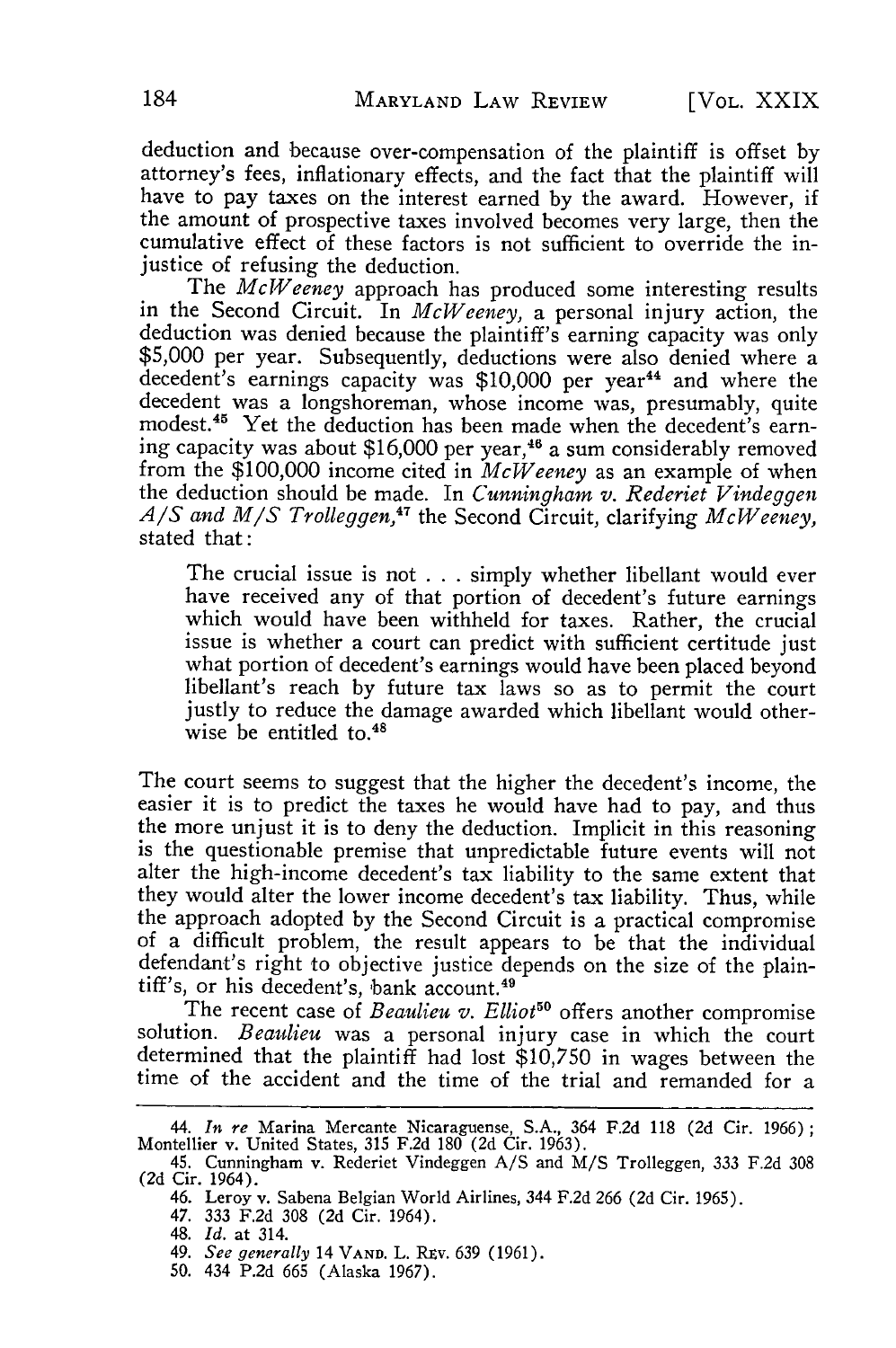deduction and because over-compensation of the plaintiff is offset by attorney's fees, inflationary effects, and the fact that the plaintiff will have to pay taxes on the interest earned by the award. However, if the amount of prospective taxes involved becomes very large, then the cumulative effect of these factors is not sufficient to override the injustice of refusing the deduction.

The *McWeeney* approach has produced some interesting results in the Second Circuit. In *McWeeney,* a personal injury action, the deduction was denied because the plaintiff's earning capacity was only \$5,000 per year. Subsequently, deductions were also denied where a decedent's earnings capacity was \$10,000 per year<sup>44</sup> and where the decedent was a longshoreman, whose income was, presumably, quite modest.<sup>45</sup> Yet the deduction has been made when the decedent's earning capacity was about \$16,000 per year, 46 a sum considerably removed from the \$100,000 income cited in *McWeeney* as an example of when the deduction should be made. In *Cunningham v. Rederiet Vindeggen*  $A/S$  *and M/S Trolleggen*,<sup>47</sup> the Second Circuit, clarifying *McWeeney*, stated that:

The crucial issue is not . . . simply whether libellant would ever have received any of that portion of decedent's future earnings which would have been withheld for taxes. Rather, the crucial issue is whether a court can predict with sufficient certitude just what portion of decedent's earnings would have been placed beyond libellant's reach by future tax laws so as to permit the court justly to reduce the damage awarded which libellant would otherwise be entitled to.<sup>48</sup>

The court seems to suggest that the higher the decedent's income, the easier it is to predict the taxes he would have had to pay, and thus the more unjust it is to deny the deduction. Implicit in this reasoning is the questionable premise that unpredictable future events will not alter the high-income decedent's tax liability to the same extent that they would alter the lower income decedent's tax liability. Thus, while the approach adopted by the Second Circuit is a practical compromise of a difficult problem, the result appears to be that the individual defendant's right to objective justice depends on the size of the plaintiff's, or his decedent's, bank account. <sup>49</sup>

The recent case of *Beaulieu v. Elliot*<sup>50</sup> offers another compromise solution. *Beaulieu* was a personal injury case in which the court determined that the plaintiff had lost \$10,750 in wages between the time of the accident and the time of the trial and remanded for a

50. 434 P.2d 665 (Alaska 1967).

<sup>44.</sup> *In re* Marina Mercante Nicaraguense, S.A., 364 F.2d 118 (2d Cir. 1966); Montellier v. United States, 315 F.2d 180 (2d Cir. 1963).

<sup>45.</sup> Cunningham v. Rederiet Vindeggen A/S and M/S Trolleggen, 333 F.2d 308 (2d Cir. 1964).

<sup>46.</sup> Leroy v. Sabena Belgian World Airlines, 344 F.2d 266 (2d Cir. 1965).

<sup>47. 333</sup> F.2d 308 (2d Cir. 1964).

<sup>48.</sup> *Id.* at 314.

<sup>49.</sup> *See generally* 14 **VAND.** L. Riv. 639 (1961).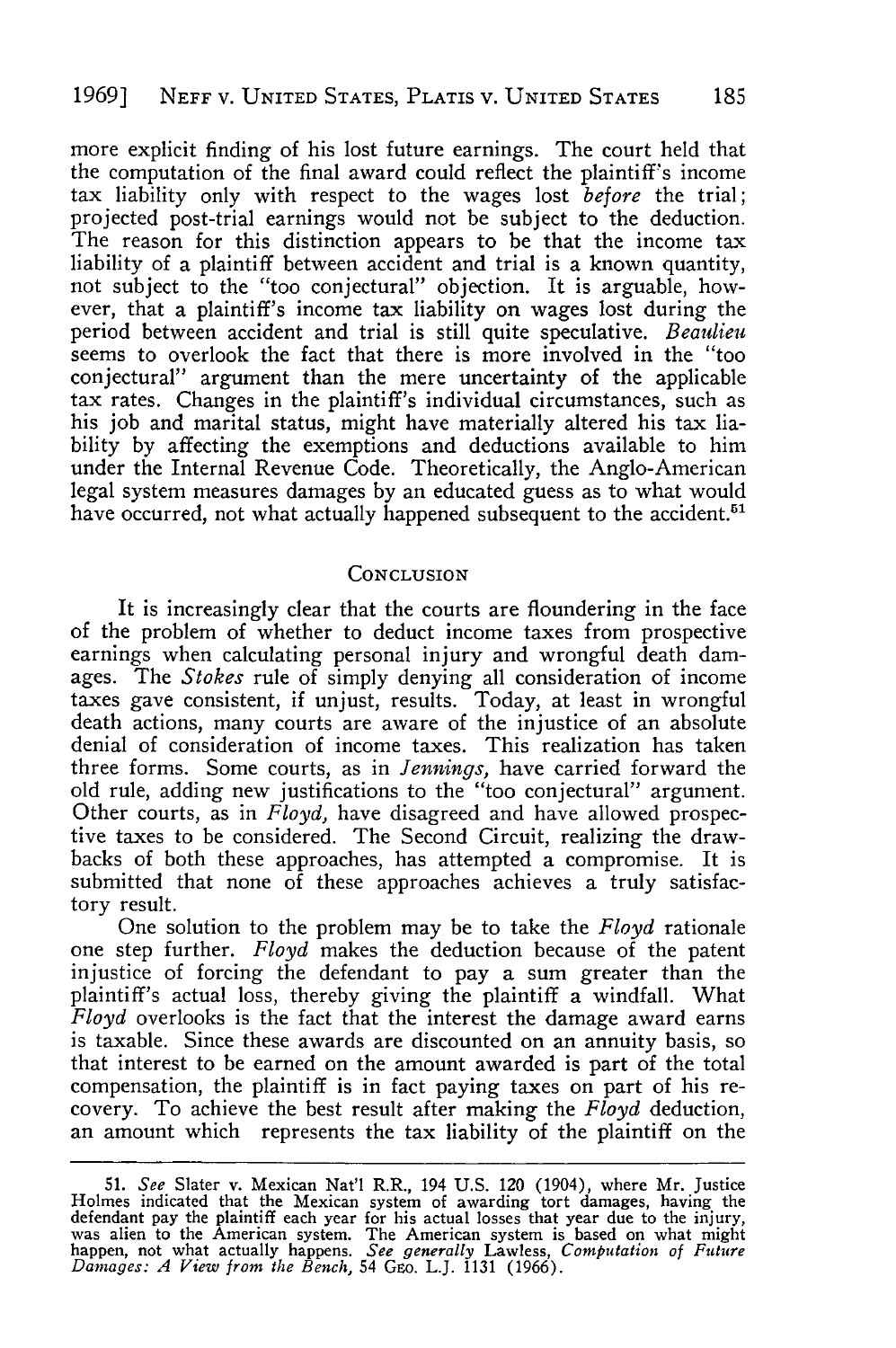more explicit finding of his lost future earnings. The court held that the computation of the final award could reflect the plaintiff's income tax liability only with respect to the wages lost *before* the trial; projected post-trial earnings would not be subject to the deduction. The reason for this distinction appears to be that the income tax liability of a plaintiff between accident and trial is a known quantity, not subject to the "too conjectural" objection. It is arguable, however, that a plaintiff's income tax liability on wages lost during the period between accident and trial is still quite speculative. *Beaulieu* seems to overlook the fact that there is more involved in the "too conjectural" argument than the mere uncertainty of the applicable tax rates. Changes in the plaintiff's individual circumstances, such as his job and marital status, might have materially altered his tax liability by affecting the exemptions and deductions available to him under the Internal Revenue Code. Theoretically, the Anglo-American legal system measures damages by an educated guess as to what would have occurred, not what actually happened subsequent to the accident.<sup>51</sup>

#### **CONCLUSION**

It is increasingly clear that the courts are floundering in the face of the problem of whether to deduct income taxes from prospective earnings when calculating personal injury and wrongful death damages. The *Stokes* rule of simply denying all consideration of income taxes gave consistent, if unjust, results. Today, at least in wrongful death actions, many courts are aware of the injustice of an absolute denial of consideration of income taxes. This realization has taken three forms. Some courts, as in *Jennings,* have carried forward the old rule, adding new justifications to the "too conjectural" argument. Other courts, as in *Floyd*, have disagreed and have allowed prospective taxes to be considered. The Second Circuit, realizing the drawbacks of both these approaches, has attempted a compromise. It is submitted that none of these approaches achieves a truly satisfactory result.

One solution to the problem may be to take the *Floyd* rationale injustice of forcing the defendant to pay a sum greater than the plaintiff's actual loss, thereby giving the plaintiff a windfall. What *Floyd* overlooks is the fact that the interest the damage award earns is taxable. Since these awards are discounted on an annuity basis, so that interest to be earned on the amount awarded is part of the total compensation, the plaintiff is in fact paying taxes on part of his recovery. To achieve the best result after making the *Floyd* deduction, an amount which represents the tax liability of the plaintiff on the

<sup>51.</sup> See Slater v. Mexican Nat'l R.R., 194 U.S. 120 (1904), where Mr. Justice<br>Holmes indicated that the Mexican system of awarding tort damages, having the<br>defendant pay the plaintiff each year for his actual losses that ye was alien to the American system. The American system is based on what might<br>happen, not what actually happens. See generally Lawless, Computation of Future<br>Damages: A View from the Bench, 54 GEO. L.J. 1131 (1966).